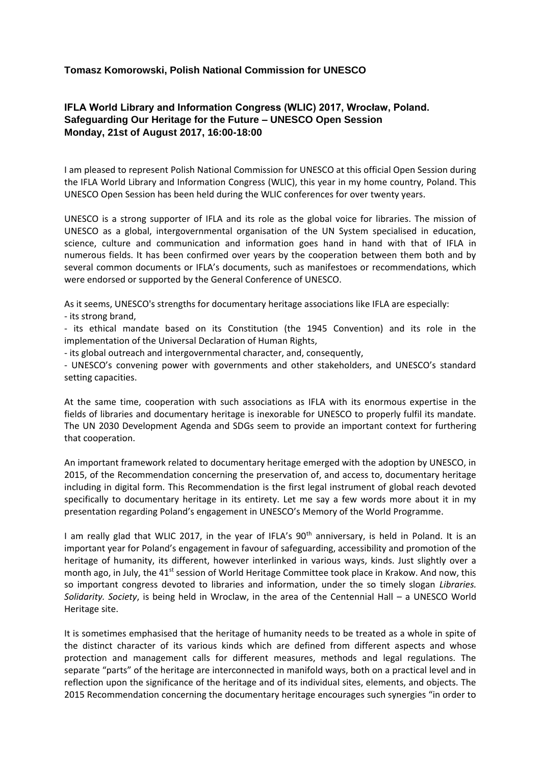## **Tomasz Komorowski, Polish National Commission for UNESCO**

## **IFLA World Library and Information Congress (WLIC) 2017, Wrocław, Poland. Safeguarding Our Heritage for the Future – UNESCO Open Session Monday, 21st of August 2017, 16:00-18:00**

I am pleased to represent Polish National Commission for UNESCO at this official Open Session during the IFLA World Library and Information Congress (WLIC), this year in my home country, Poland. This UNESCO Open Session has been held during the WLIC conferences for over twenty years.

UNESCO is a strong supporter of IFLA and its role as the global voice for libraries. The mission of UNESCO as a global, intergovernmental organisation of the UN System specialised in education, science, culture and communication and information goes hand in hand with that of IFLA in numerous fields. It has been confirmed over years by the cooperation between them both and by several common documents or IFLA's documents, such as manifestoes or recommendations, which were endorsed or supported by the General Conference of UNESCO.

As it seems, UNESCO's strengths for documentary heritage associations like IFLA are especially:

- its strong brand,

- its ethical mandate based on its Constitution (the 1945 Convention) and its role in the implementation of the Universal Declaration of Human Rights,

- its global outreach and intergovernmental character, and, consequently,

- UNESCO's convening power with governments and other stakeholders, and UNESCO's standard setting capacities.

At the same time, cooperation with such associations as IFLA with its enormous expertise in the fields of libraries and documentary heritage is inexorable for UNESCO to properly fulfil its mandate. The UN 2030 Development Agenda and SDGs seem to provide an important context for furthering that cooperation.

An important framework related to documentary heritage emerged with the adoption by UNESCO, in 2015, of the Recommendation concerning the preservation of, and access to, documentary heritage including in digital form. This Recommendation is the first legal instrument of global reach devoted specifically to documentary heritage in its entirety. Let me say a few words more about it in my presentation regarding Poland's engagement in UNESCO's Memory of the World Programme.

I am really glad that WLIC 2017, in the year of IFLA's 90<sup>th</sup> anniversary, is held in Poland. It is an important year for Poland's engagement in favour of safeguarding, accessibility and promotion of the heritage of humanity, its different, however interlinked in various ways, kinds. Just slightly over a month ago, in July, the 41<sup>st</sup> session of World Heritage Committee took place in Krakow. And now, this so important congress devoted to libraries and information, under the so timely slogan *Libraries. Solidarity. Society*, is being held in Wroclaw, in the area of the Centennial Hall – a UNESCO World Heritage site.

It is sometimes emphasised that the heritage of humanity needs to be treated as a whole in spite of the distinct character of its various kinds which are defined from different aspects and whose protection and management calls for different measures, methods and legal regulations. The separate "parts" of the heritage are interconnected in manifold ways, both on a practical level and in reflection upon the significance of the heritage and of its individual sites, elements, and objects. The 2015 Recommendation concerning the documentary heritage encourages such synergies "in order to